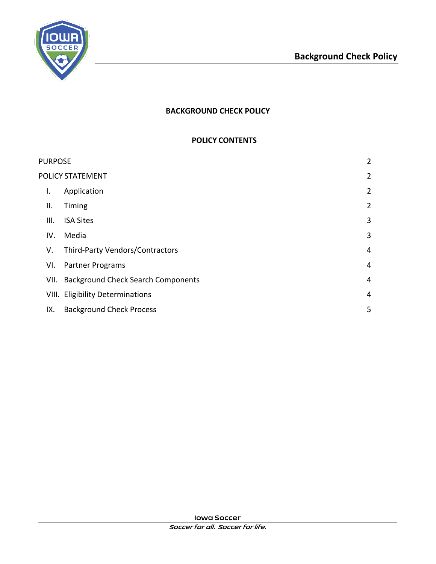

# **BACKGROUND CHECK POLICY**

#### **POLICY CONTENTS**

| <b>PURPOSE</b> |                  | $\overline{2}$                            |                |
|----------------|------------------|-------------------------------------------|----------------|
|                | POLICY STATEMENT |                                           |                |
|                | I.               | Application                               | $\overline{2}$ |
|                | Ш.               | Timing                                    | $\overline{2}$ |
|                | III.             | <b>ISA Sites</b>                          | 3              |
|                | IV.              | Media                                     | 3              |
|                | V.               | Third-Party Vendors/Contractors           | 4              |
|                | VI.              | Partner Programs                          | 4              |
|                | VII.             | <b>Background Check Search Components</b> | 4              |
|                |                  | VIII. Eligibility Determinations          | 4              |
|                | IX.              | <b>Background Check Process</b>           | 5              |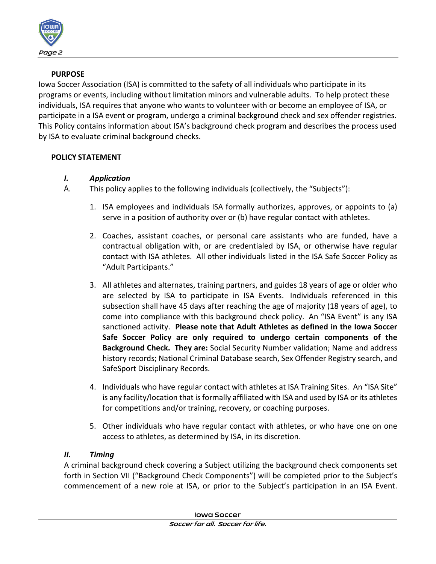

### **PURPOSE**

<span id="page-1-0"></span>Iowa Soccer Association (ISA) is committed to the safety of all individuals who participate in its programs or events, including without limitation minors and vulnerable adults. To help protect these individuals, ISA requires that anyone who wants to volunteer with or become an employee of ISA, or participate in a ISA event or program, undergo a criminal background check and sex offender registries. This Policy contains information about ISA's background check program and describes the process used by ISA to evaluate criminal background checks.

### <span id="page-1-2"></span><span id="page-1-1"></span>**POLICY STATEMENT**

- *I. Application*
- A. This policy applies to the following individuals (collectively, the "Subjects"):
	- 1. ISA employees and individuals ISA formally authorizes, approves, or appoints to (a) serve in a position of authority over or (b) have regular contact with athletes.
	- 2. Coaches, assistant coaches, or personal care assistants who are funded, have a contractual obligation with, or are credentialed by ISA, or otherwise have regular contact with ISA athletes. All other individuals listed in the ISA Safe Soccer Policy as "Adult Participants."
	- 3. All athletes and alternates, training partners, and guides 18 years of age or older who are selected by ISA to participate in ISA Events. Individuals referenced in this subsection shall have 45 days after reaching the age of majority (18 years of age), to come into compliance with this background check policy. An "ISA Event" is any ISA sanctioned activity. **Please note that Adult Athletes as defined in the Iowa Soccer Safe Soccer Policy are only required to undergo certain components of the Background Check. They are:** Social Security Number validation; Name and address history records; National Criminal Database search, Sex Offender Registry search, and SafeSport Disciplinary Records.
	- 4. Individuals who have regular contact with athletes at ISA Training Sites. An "ISA Site" is any facility/location that is formally affiliated with ISA and used by ISA or its athletes for competitions and/or training, recovery, or coaching purposes.
	- 5. Other individuals who have regular contact with athletes, or who have one on one access to athletes, as determined by ISA, in its discretion.

### <span id="page-1-3"></span>*II. Timing*

A criminal background check covering a Subject utilizing the background check components set forth in Section VII ("Background Check Components") will be completed prior to the Subject's commencement of a new role at ISA, or prior to the Subject's participation in an ISA Event.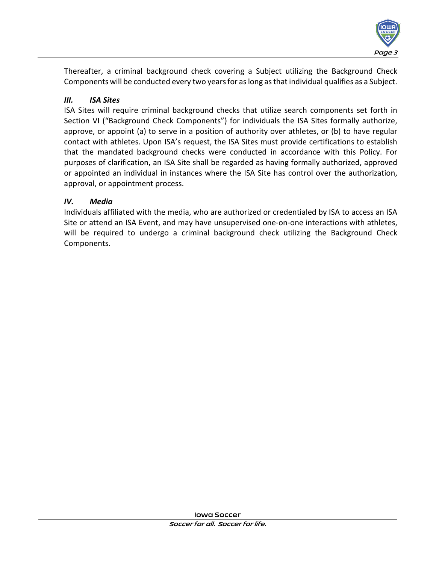

Thereafter, a criminal background check covering a Subject utilizing the Background Check Components will be conducted every two years for as long as that individual qualifies as a Subject.

### <span id="page-2-0"></span>*III. ISA Sites*

ISA Sites will require criminal background checks that utilize search components set forth in Section VI ("Background Check Components") for individuals the ISA Sites formally authorize, approve, or appoint (a) to serve in a position of authority over athletes, or (b) to have regular contact with athletes. Upon ISA's request, the ISA Sites must provide certifications to establish that the mandated background checks were conducted in accordance with this Policy. For purposes of clarification, an ISA Site shall be regarded as having formally authorized, approved or appointed an individual in instances where the ISA Site has control over the authorization, approval, or appointment process.

# <span id="page-2-1"></span>*IV. Media*

Individuals affiliated with the media, who are authorized or credentialed by ISA to access an ISA Site or attend an ISA Event, and may have unsupervised one-on-one interactions with athletes, will be required to undergo a criminal background check utilizing the Background Check Components.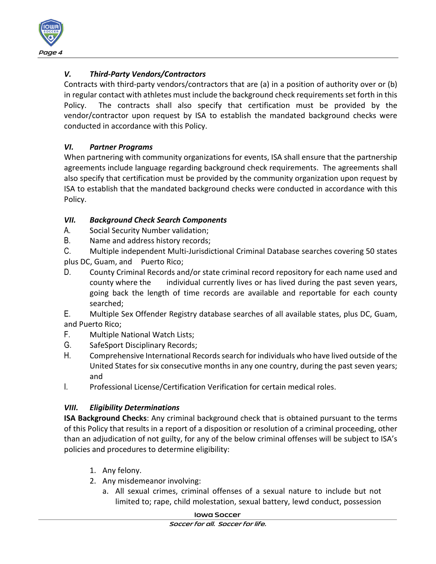

# <span id="page-3-0"></span>*V. Third-Party Vendors/Contractors*

Contracts with third-party vendors/contractors that are (a) in a position of authority over or (b) in regular contact with athletes must include the background check requirements set forth in this Policy. The contracts shall also specify that certification must be provided by the vendor/contractor upon request by ISA to establish the mandated background checks were conducted in accordance with this Policy.

### <span id="page-3-1"></span>*VI. Partner Programs*

When partnering with community organizations for events, ISA shall ensure that the partnership agreements include language regarding background check requirements. The agreements shall also specify that certification must be provided by the community organization upon request by ISA to establish that the mandated background checks were conducted in accordance with this Policy.

#### <span id="page-3-2"></span>*VII. Background Check Search Components*

- A. Social Security Number validation;
- B. Name and address history records;

C. Multiple independent Multi-Jurisdictional Criminal Database searches covering 50 states plus DC, Guam, and Puerto Rico;

D. County Criminal Records and/or state criminal record repository for each name used and county where the individual currently lives or has lived during the past seven years, going back the length of time records are available and reportable for each county searched;

E. Multiple Sex Offender Registry database searches of all available states, plus DC, Guam, and Puerto Rico;

- F. Multiple National Watch Lists;
- G. SafeSport Disciplinary Records;
- H. Comprehensive International Records search for individuals who have lived outside of the United States for six consecutive months in any one country, during the past seven years; and
- I. Professional License/Certification Verification for certain medical roles.

### <span id="page-3-3"></span>*VIII. Eligibility Determinations*

**ISA Background Checks**: Any criminal background check that is obtained pursuant to the terms of this Policy that results in a report of a disposition or resolution of a criminal proceeding, other than an adjudication of not guilty, for any of the below criminal offenses will be subject to ISA's policies and procedures to determine eligibility:

- 1. Any felony.
- 2. Any misdemeanor involving:
	- a. All sexual crimes, criminal offenses of a sexual nature to include but not limited to; rape, child molestation, sexual battery, lewd conduct, possession